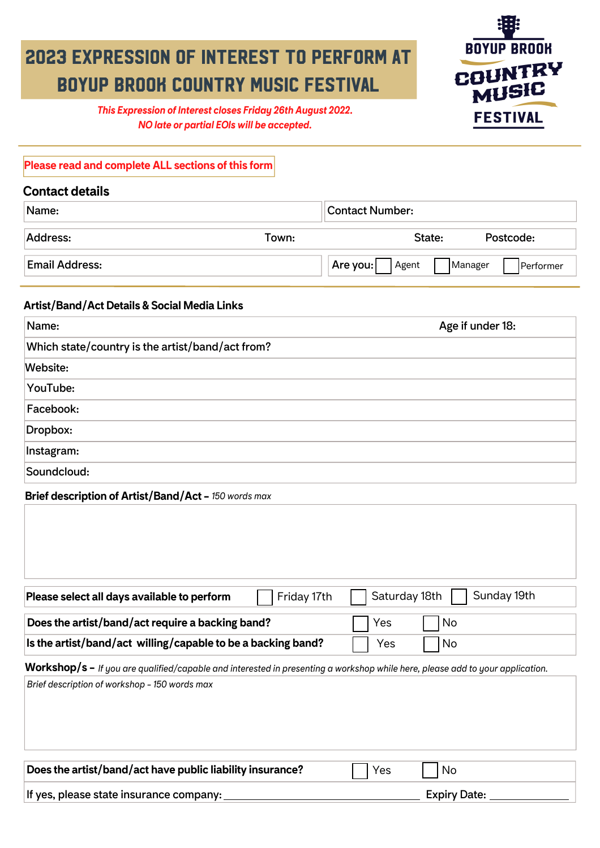## 2023 EXPRESSION OF INTEREST TO PERFORM AT BOYUP BROOK COUNTRY MUSIC FESTIVAL



*This Expression of Interest closes Friday 26th August 2022. NO late or partial EOIs will be accepted.*

### **Please read and complete ALL sections of this form**

| <b>Contact details</b> |       |                        |                      |  |
|------------------------|-------|------------------------|----------------------|--|
| Name:                  |       | <b>Contact Number:</b> |                      |  |
| Address:               | Town: | State:                 | Postcode:            |  |
| <b>Email Address:</b>  |       | Are you:<br>Agent      | Manager<br>Performer |  |

## **Artist/Band/Act Details & Social Media Links**

| Name:                                            | Age if under 18: |  |  |  |
|--------------------------------------------------|------------------|--|--|--|
| Which state/country is the artist/band/act from? |                  |  |  |  |
| Website:                                         |                  |  |  |  |
| YouTube:                                         |                  |  |  |  |
| Facebook:                                        |                  |  |  |  |
| Dropbox:                                         |                  |  |  |  |
| Instagram:                                       |                  |  |  |  |
| Soundcloud:                                      |                  |  |  |  |

## **Brief description of Artist/Band/Act -** *150 words max*

| Friday 17th<br>Please select all days available to perform                                                                    | Sunday 19th<br>Saturday 18th |
|-------------------------------------------------------------------------------------------------------------------------------|------------------------------|
| Does the artist/band/act require a backing band?                                                                              | No<br>Yes                    |
| Is the artist/band/act willing/capable to be a backing band?                                                                  | No<br>Yes                    |
| Workshop/s – If you are qualified/capable and interested in presenting a workshop while here, please add to your application. |                              |
| Brief description of workshop - 150 words max                                                                                 |                              |
|                                                                                                                               |                              |
|                                                                                                                               |                              |
|                                                                                                                               |                              |
|                                                                                                                               |                              |
| Does the artist/band/act have public liability insurance?                                                                     | No<br>Yes                    |
| If yes, please state insurance company:                                                                                       | <b>Expiry Date:</b>          |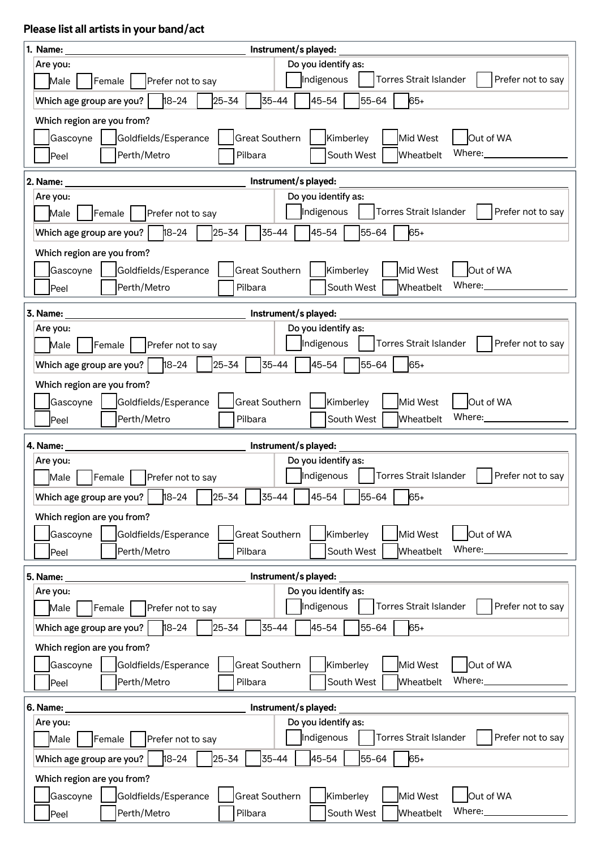## **Please list all artists in your band/act**

| 1. Name:<br>Instrument/s played:                                                                                  |  |  |  |  |
|-------------------------------------------------------------------------------------------------------------------|--|--|--|--|
| Do you identify as:<br>Are you:                                                                                   |  |  |  |  |
| Indigenous<br><b>Torres Strait Islander</b><br>Prefer not to say<br>Male<br>Female<br>Prefer not to say           |  |  |  |  |
| $25 - 34$<br>$18 - 24$<br>35-44<br>45-54<br>65+<br>55-64<br>Which age group are you?                              |  |  |  |  |
| Which region are you from?                                                                                        |  |  |  |  |
| <b>Great Southern</b><br>Out of WA<br>Kimberley<br>Mid West<br>Gascoyne<br>Goldfields/Esperance                   |  |  |  |  |
| Where:<br>South West<br>Perth/Metro<br>Pilbara<br>Wheatbelt<br>Peel                                               |  |  |  |  |
| 2. Name:<br>Instrument/s played:                                                                                  |  |  |  |  |
| Do you identify as:<br>Are you:                                                                                   |  |  |  |  |
| Indigenous<br><b>Torres Strait Islander</b><br>Prefer not to say<br>Female<br>Male<br>Prefer not to say           |  |  |  |  |
| $18 - 24$<br>25-34<br>35-44<br>45-54<br>55-64<br>65+<br>Which age group are you?                                  |  |  |  |  |
| Which region are you from?                                                                                        |  |  |  |  |
| <b>Great Southern</b><br>Kimberley<br>Out of WA<br>Gascoyne<br>Goldfields/Esperance<br>Mid West                   |  |  |  |  |
| Where:<br>Perth/Metro<br>South West<br>Pilbara<br>Wheatbelt<br>Peel                                               |  |  |  |  |
|                                                                                                                   |  |  |  |  |
| Instrument/s played:<br>3. Name:<br>Do you identify as:<br>Are you:                                               |  |  |  |  |
| Indigenous<br>Torres Strait Islander<br>Prefer not to say<br>Female<br>Prefer not to say<br>Male                  |  |  |  |  |
| $18 - 24$<br>25-34<br>$35 - 44$<br>45-54<br>65+<br>Which age group are you?<br>55-64                              |  |  |  |  |
| Which region are you from?                                                                                        |  |  |  |  |
| Goldfields/Esperance<br><b>Great Southern</b><br>Kimberley<br>Mid West<br>Out of WA<br>Gascoyne                   |  |  |  |  |
| Where:<br>Perth/Metro<br>South West<br>Wheatbelt<br>Pilbara<br>Peel                                               |  |  |  |  |
|                                                                                                                   |  |  |  |  |
|                                                                                                                   |  |  |  |  |
| Instrument/s played:<br>4. Name:                                                                                  |  |  |  |  |
| Do you identify as:<br>Are you:                                                                                   |  |  |  |  |
| Indigenous<br><b>Torres Strait Islander</b><br>Prefer not to say<br>Female<br>Male<br>Prefer not to say<br>$\Box$ |  |  |  |  |
| $\frac{1}{18-24}$<br>$\sqrt{25-34}$<br>Which age group are you?<br>35-44<br>45-54<br>55-64<br>65+                 |  |  |  |  |
| Which region are you from?                                                                                        |  |  |  |  |
| Mid West<br>Out of WA<br><b>Great Southern</b><br>Kimberley<br>Gascoyne<br>Goldfields/Esperance                   |  |  |  |  |
| Where:<br>Perth/Metro<br>South West<br>Pilbara<br>Wheatbelt<br>Peel                                               |  |  |  |  |
| 5. Name:<br>Instrument/s played:                                                                                  |  |  |  |  |
| Do you identify as:<br>Are you:                                                                                   |  |  |  |  |
| Indigenous<br>Torres Strait Islander<br>Prefer not to say<br>Male<br>Female<br>Prefer not to say                  |  |  |  |  |
| 18-24<br>25-34<br>45-54<br>35-44<br>55-64<br>65+<br>Which age group are you?                                      |  |  |  |  |
| Which region are you from?                                                                                        |  |  |  |  |
| <b>Great Southern</b><br>Kimberley<br>Mid West<br>Out of WA<br>Gascoyne<br>Goldfields/Esperance                   |  |  |  |  |
| Where:<br>Perth/Metro<br>Pilbara<br>South West<br>Wheatbelt<br>Peel                                               |  |  |  |  |
| Instrument/s played:<br>6. Name:                                                                                  |  |  |  |  |
| Do you identify as:<br>Are you:                                                                                   |  |  |  |  |
| Indigenous<br>Torres Strait Islander<br>Prefer not to say<br>Male<br>Female<br>Prefer not to say                  |  |  |  |  |
| $18 - 24$<br>25-34<br>35-44<br>45-54<br>65+<br>Which age group are you?<br>55-64                                  |  |  |  |  |
| Which region are you from?                                                                                        |  |  |  |  |
| <b>Great Southern</b><br>Out of WA<br>Goldfields/Esperance<br>Kimberley<br>Mid West<br>Gascoyne<br>Where:         |  |  |  |  |